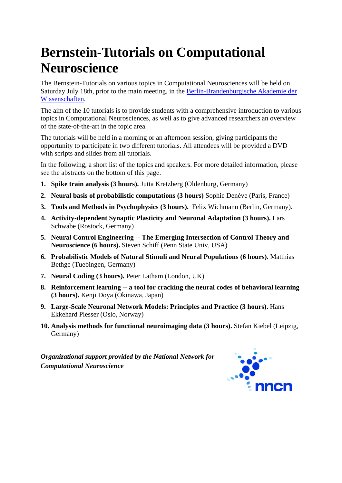# **Bernstein-Tutorials on Computational Neuroscience**

The Bernstein-Tutorials on various topics in Computational Neurosciences will be held on Saturday July 18th, prior to the main meeting, in the Berlin-Brandenburgische Akademie der Wissenschaften.

The aim of the 10 tutorials is to provide students with a comprehensive introduction to various topics in Computational Neurosciences, as well as to give advanced researchers an overview of the state-of-the-art in the topic area.

The tutorials will be held in a morning or an afternoon session, giving participants the opportunity to participate in two different tutorials. All attendees will be provided a DVD with scripts and slides from all tutorials.

In the following, a short list of the topics and speakers. For more detailed information, please see the abstracts on the bottom of this page.

- **1. Spike train analysis (3 hours).** Jutta Kretzberg (Oldenburg, Germany)
- **2. Neural basis of probabilistic computations (3 hours)** Sophie Denève (Paris, France)
- **3. Tools and Methods in Psychophysics (3 hours).** Felix Wichmann (Berlin, Germany).
- **4. Activity-dependent Synaptic Plasticity and Neuronal Adaptation (3 hours).** Lars Schwabe (Rostock, Germany)
- **5. Neural Control Engineering -- The Emerging Intersection of Control Theory and Neuroscience (6 hours).** Steven Schiff (Penn State Univ, USA)
- **6. Probabilistic Models of Natural Stimuli and Neural Populations (6 hours).** Matthias Bethge (Tuebingen, Germany)
- **7. Neural Coding (3 hours).** Peter Latham (London, UK)
- **8. Reinforcement learning -- a tool for cracking the neural codes of behavioral learning (3 hours).** Kenji Doya (Okinawa, Japan)
- **9. Large-Scale Neuronal Network Models: Principles and Practice (3 hours).** Hans Ekkehard Plesser (Oslo, Norway)
- **10. Analysis methods for functional neuroimaging data (3 hours).** Stefan Kiebel (Leipzig, Germany)

*Organizational support provided by the National Network for Computational Neuroscience*

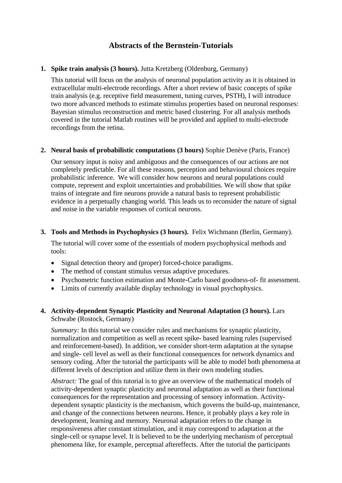# **Abstracts of the Bernstein-Tutorials**

# **1. Spike train analysis (3 hours).** Jutta Kretzberg (Oldenburg, Germany)

This tutorial will focus on the analysis of neuronal population activity as it is obtained in extracellular multi-electrode recordings. After a short review of basic concepts of spike train analysis (e.g. receptive field measurement, tuning curves, PSTH), I will introduce two more advanced methods to estimate stimulus properties based on neuronal responses: Bayesian stimulus reconstruction and metric based clustering. For all analysis methods covered in the tutorial Matlab routines will be provided and applied to multi-electrode recordings from the retina.

#### **2. Neural basis of probabilistic computations (3 hours)** Sophie Denève (Paris, France)

Our sensory input is noisy and ambiguous and the consequences of our actions are not completely predictable. For all these reasons, perception and behavioural choices require probabilistic inference. We will consider how neurons and neural populations could compute, represent and exploit uncertainties and probabilities. We will show that spike trains of integrate and fire neurons provide a natural basis to represent probabilistic evidence in a perpetually changing world. This leads us to reconsider the nature of signal and noise in the variable responses of cortical neurons.

#### **3. Tools and Methods in Psychophysics (3 hours).** Felix Wichmann (Berlin, Germany).

The tutorial will cover some of the essentials of modern psychophysical methods and tools:

- Signal detection theory and (proper) forced-choice paradigms.
- The method of constant stimulus versus adaptive procedures.
- Psychometric function estimation and Monte-Carlo based goodness-of- fit assessment.
- Limits of currently available display technology in visual psychophysics.

# **4. Activity-dependent Synaptic Plasticity and Neuronal Adaptation (3 hours).** Lars Schwabe (Rostock, Germany)

*Summary:* In this tutorial we consider rules and mechanisms for synaptic plasticity, normalization and competition as well as recent spike- based learning rules (supervised and reinforcement-based). In addition, we consider short-term adaptation at the synapse and single- cell level as well as their functional consequences for network dynamics and sensory coding. After the tutorial the participants will be able to model both phenomena at different levels of description and utilize them in their own modeling studies.

*Abstract:* The goal of this tutorial is to give an overview of the mathematical models of activity-dependent synaptic plasticity and neuronal adaptation as well as their functional consequences for the representation and processing of sensory information. Activitydependent synaptic plasticity is the mechanism, which governs the build-up, maintenance, and change of the connections between neurons. Hence, it probably plays a key role in development, learning and memory. Neuronal adaptation refers to the change in responsiveness after constant stimulation, and it may correspond to adaptation at the single-cell or synapse level. It is believed to be the underlying mechanism of perceptual phenomena like, for example, perceptual aftereffects. After the tutorial the participants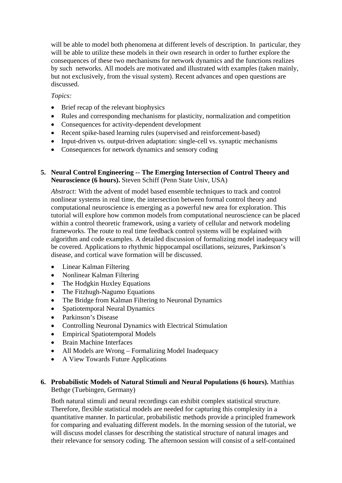will be able to model both phenomena at different levels of description. In particular, they will be able to utilize these models in their own research in order to further explore the consequences of these two mechanisms for network dynamics and the functions realizes by such networks. All models are motivated and illustrated with examples (taken mainly, but not exclusively, from the visual system). Recent advances and open questions are discussed.

*Topics:* 

- Brief recap of the relevant biophysics
- Rules and corresponding mechanisms for plasticity, normalization and competition
- Consequences for activity-dependent development
- Recent spike-based learning rules (supervised and reinforcement-based)
- Input-driven vs. output-driven adaptation: single-cell vs. synaptic mechanisms
- Consequences for network dynamics and sensory coding

#### **5. Neural Control Engineering -- The Emerging Intersection of Control Theory and Neuroscience (6 hours).** Steven Schiff (Penn State Univ, USA)

*Abstract:* With the advent of model based ensemble techniques to track and control nonlinear systems in real time, the intersection between formal control theory and computational neuroscience is emerging as a powerful new area for exploration. This tutorial will explore how common models from computational neuroscience can be placed within a control theoretic framework, using a variety of cellular and network modeling frameworks. The route to real time feedback control systems will be explained with algorithm and code examples. A detailed discussion of formalizing model inadequacy will be covered. Applications to rhythmic hippocampal oscillations, seizures, Parkinson's disease, and cortical wave formation will be discussed.

- Linear Kalman Filtering
- Nonlinear Kalman Filtering
- The Hodgkin Huxley Equations
- The Fitzhugh-Nagumo Equations
- The Bridge from Kalman Filtering to Neuronal Dynamics
- Spatiotemporal Neural Dynamics
- Parkinson's Disease
- Controlling Neuronal Dynamics with Electrical Stimulation
- Empirical Spatiotemporal Models
- Brain Machine Interfaces
- All Models are Wrong Formalizing Model Inadequacy
- A View Towards Future Applications

# **6. Probabilistic Models of Natural Stimuli and Neural Populations (6 hours).** Matthias Bethge (Tuebingen, Germany)

Both natural stimuli and neural recordings can exhibit complex statistical structure. Therefore, flexible statistical models are needed for capturing this complexity in a quantitative manner. In particular, probabilistic methods provide a principled framework for comparing and evaluating different models. In the morning session of the tutorial, we will discuss model classes for describing the statistical structure of natural images and their relevance for sensory coding. The afternoon session will consist of a self-contained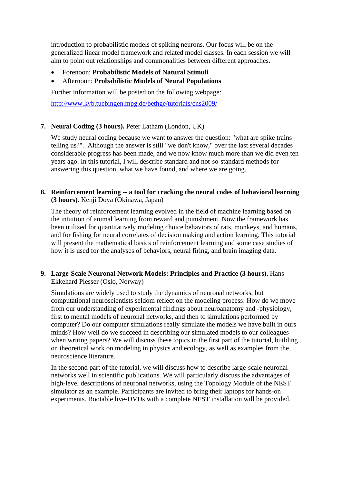introduction to probabilistic models of spiking neurons. Our focus will be on the generalized linear model framework and related model classes. In each session we will aim to point out relationships and commonalities between different approaches.

- Forenoon: **Probabilistic Models of Natural Stimuli**
- Afternoon: **Probabilistic Models of Neural Populations**

Further information will be posted on the following webpage:

http://www.kyb.tuebingen.mpg.de/bethge/tutorials/cns2009/

# **7. Neural Coding (3 hours).** Peter Latham (London, UK)

We study neural coding because we want to answer the question: "what are spike trains telling us?". Although the answer is still "we don't know," over the last several decades considerable progress has been made, and we now know much more than we did even ten years ago. In this tutorial, I will describe standard and not-so-standard methods for answering this question, what we have found, and where we are going.

#### **8. Reinforcement learning -- a tool for cracking the neural codes of behavioral learning (3 hours).** Kenji Doya (Okinawa, Japan)

The theory of reinforcement learning evolved in the field of machine learning based on the intuition of animal learning from reward and punishment. Now the framework has been utilized for quantitatively modeling choice behaviors of rats, monkeys, and humans, and for fishing for neural correlates of decision making and action learning. This tutorial will present the mathematical basics of reinforcement learning and some case studies of how it is used for the analyses of behaviors, neural firing, and brain imaging data.

# **9. Large-Scale Neuronal Network Models: Principles and Practice (3 hours).** Hans Ekkehard Plesser (Oslo, Norway)

Simulations are widely used to study the dynamics of neuronal networks, but computational neuroscientists seldom reflect on the modeling process: How do we move from our understanding of experimental findings about neuroanatomy and -physiology, first to mental models of neuronal networks, and then to simulations performed by computer? Do our computer simulations really simulate the models we have built in ours minds? How well do we succeed in describing our simulated models to our colleagues when writing papers? We will discuss these topics in the first part of the tutorial, building on theoretical work on modeling in physics and ecology, as well as examples from the neuroscience literature.

In the second part of the tutorial, we will discuss how to describe large-scale neuronal networks well in scientific publications. We will particularly discuss the advantages of high-level descriptions of neuronal networks, using the Topology Module of the NEST simulator as an example. Participants are invited to bring their laptops for hands-on experiments. Bootable live-DVDs with a complete NEST installation will be provided.